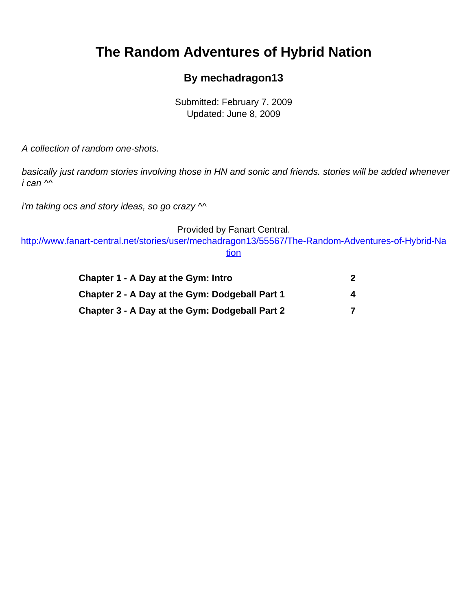# <span id="page-0-0"></span>**The Random Adventures of Hybrid Nation**

#### **By mechadragon13**

Submitted: February 7, 2009 Updated: June 8, 2009

A collection of random one-shots.

basically just random stories involving those in HN and sonic and friends. stories will be added whenever  $i$  can  $\sim$ 

i'm taking ocs and story ideas, so go crazy  $\sim$ 

Provided by Fanart Central.

[http://www.fanart-central.net/stories/user/mechadragon13/55567/The-Random-Adventures-of-Hybrid-Na](#page-0-0) [tion](#page-0-0)

| Chapter 1 - A Day at the Gym: Intro            | 2 |
|------------------------------------------------|---|
| Chapter 2 - A Day at the Gym: Dodgeball Part 1 | 4 |
| Chapter 3 - A Day at the Gym: Dodgeball Part 2 | 7 |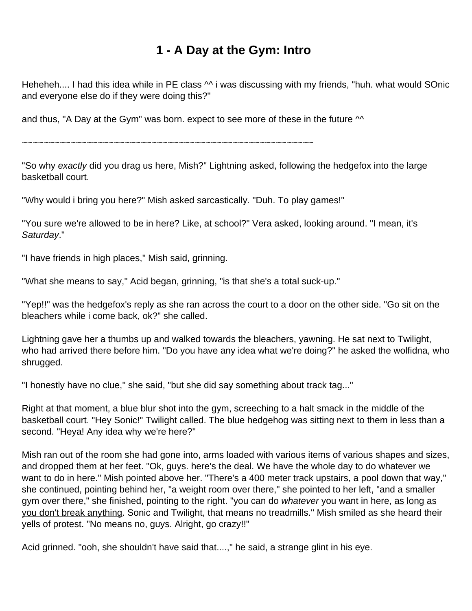#### **1 - A Day at the Gym: Intro**

<span id="page-1-0"></span>Heheheh.... I had this idea while in PE class  $\sim$  i was discussing with my friends, "huh. what would SOnic and everyone else do if they were doing this?"

and thus, "A Day at the Gym" was born. expect to see more of these in the future  $\sim$ 

 $~\sim$   $~\sim$   $~\sim$   $~\sim$   $~\sim$   $~\sim$   $~\sim$   $~\sim$   $~\sim$   $~\sim$   $~\sim$   $~\sim$   $~\sim$   $~\sim$   $~\sim$   $~\sim$   $~\sim$   $~\sim$   $~\sim$   $~\sim$   $~\sim$   $~\sim$   $~\sim$   $~\sim$   $~\sim$   $~\sim$   $~\sim$   $~\sim$   $~\sim$   $~\sim$   $~\sim$   $~\sim$   $~\sim$   $~\sim$   $~\sim$   $~\sim$   $~\sim$ 

"So why exactly did you drag us here, Mish?" Lightning asked, following the hedgefox into the large basketball court.

"Why would i bring you here?" Mish asked sarcastically. "Duh. To play games!"

"You sure we're allowed to be in here? Like, at school?" Vera asked, looking around. "I mean, it's Saturday."

"I have friends in high places," Mish said, grinning.

"What she means to say," Acid began, grinning, "is that she's a total suck-up."

"Yep!!" was the hedgefox's reply as she ran across the court to a door on the other side. "Go sit on the bleachers while i come back, ok?" she called.

Lightning gave her a thumbs up and walked towards the bleachers, yawning. He sat next to Twilight, who had arrived there before him. "Do you have any idea what we're doing?" he asked the wolfidna, who shrugged.

"I honestly have no clue," she said, "but she did say something about track tag..."

Right at that moment, a blue blur shot into the gym, screeching to a halt smack in the middle of the basketball court. "Hey Sonic!" Twilight called. The blue hedgehog was sitting next to them in less than a second. "Heya! Any idea why we're here?"

Mish ran out of the room she had gone into, arms loaded with various items of various shapes and sizes, and dropped them at her feet. "Ok, guys. here's the deal. We have the whole day to do whatever we want to do in here." Mish pointed above her. "There's a 400 meter track upstairs, a pool down that way," she continued, pointing behind her, "a weight room over there," she pointed to her left, "and a smaller gym over there," she finished, pointing to the right. "you can do whatever you want in here, as long as you don't break anything. Sonic and Twilight, that means no treadmills." Mish smiled as she heard their yells of protest. "No means no, guys. Alright, go crazy!!"

Acid grinned. "ooh, she shouldn't have said that....," he said, a strange glint in his eye.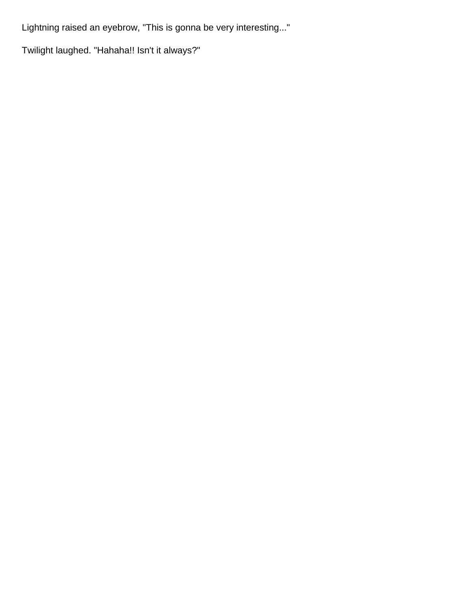Lightning raised an eyebrow, "This is gonna be very interesting..."

Twilight laughed. "Hahaha!! Isn't it always?"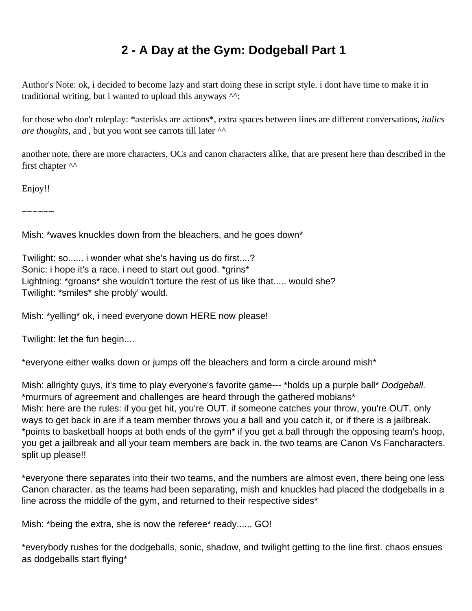## **2 - A Day at the Gym: Dodgeball Part 1**

<span id="page-3-0"></span>Author's Note: ok, i decided to become lazy and start doing these in script style. i dont have time to make it in traditional writing, but i wanted to upload this anyways ^^;

for those who don't roleplay: \*asterisks are actions\*, extra spaces between lines are different conversations, *italics are thoughts*, and , but you wont see carrots till later ^^

another note, there are more characters, OCs and canon characters alike, that are present here than described in the first chapter  $\wedge\wedge$ 

Enjoy!!

~~~~~~

Mish: \*waves knuckles down from the bleachers, and he goes down\*

Twilight: so...... i wonder what she's having us do first....? Sonic: i hope it's a race. i need to start out good. \*grins\* Lightning: \*groans\* she wouldn't torture the rest of us like that..... would she? Twilight: \*smiles\* she probly' would.

Mish: \*yelling\* ok, i need everyone down HERE now please!

Twilight: let the fun begin....

\*everyone either walks down or jumps off the bleachers and form a circle around mish\*

Mish: allrighty guys, it's time to play everyone's favorite game--- \*holds up a purple ball\* Dodgeball. \*murmurs of agreement and challenges are heard through the gathered mobians\* Mish: here are the rules: if you get hit, you're OUT. if someone catches your throw, you're OUT. only ways to get back in are if a team member throws you a ball and you catch it, or if there is a jailbreak. \*points to basketball hoops at both ends of the gym\* if you get a ball through the opposing team's hoop, you get a jailbreak and all your team members are back in. the two teams are Canon Vs Fancharacters. split up please!!

\*everyone there separates into their two teams, and the numbers are almost even, there being one less Canon character. as the teams had been separating, mish and knuckles had placed the dodgeballs in a line across the middle of the gym, and returned to their respective sides\*

Mish: \*being the extra, she is now the referee\* ready...... GO!

\*everybody rushes for the dodgeballs, sonic, shadow, and twilight getting to the line first. chaos ensues as dodgeballs start flying\*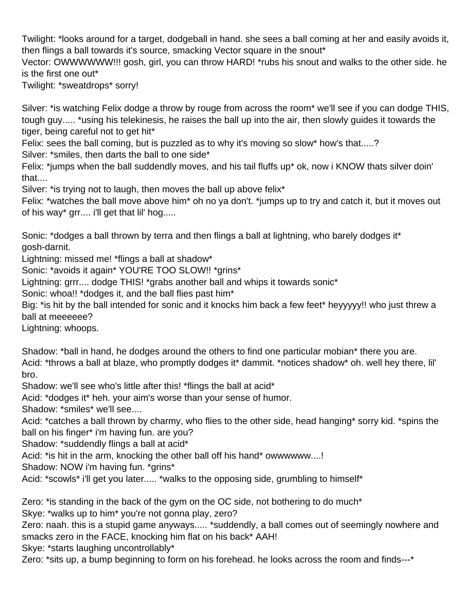Twilight: \*looks around for a target, dodgeball in hand. she sees a ball coming at her and easily avoids it, then flings a ball towards it's source, smacking Vector square in the snout\*

Vector: OWWWWWW!!! gosh, girl, you can throw HARD! \*rubs his snout and walks to the other side. he is the first one out\*

Twilight: \*sweatdrops\* sorry!

Silver: \*is watching Felix dodge a throw by rouge from across the room\* we'll see if you can dodge THIS, tough guy..... \*using his telekinesis, he raises the ball up into the air, then slowly guides it towards the tiger, being careful not to get hit\*

Felix: sees the ball coming, but is puzzled as to why it's moving so slow\* how's that.....?

Silver: \*smiles, then darts the ball to one side\*

Felix: \*jumps when the ball suddendly moves, and his tail fluffs up\* ok, now i KNOW thats silver doin' that....

Silver: \*is trying not to laugh, then moves the ball up above felix\*

Felix: \*watches the ball move above him\* oh no ya don't. \*jumps up to try and catch it, but it moves out of his way\* grr.... i'll get that lil' hog.....

Sonic: \*dodges a ball thrown by terra and then flings a ball at lightning, who barely dodges it\* gosh-darnit.

Lightning: missed me! \*flings a ball at shadow\*

Sonic: \*avoids it again\* YOU'RE TOO SLOW!! \*grins\*

Lightning: grrr.... dodge THIS! \*grabs another ball and whips it towards sonic\*

Sonic: whoa!! \*dodges it, and the ball flies past him\*

Big: \*is hit by the ball intended for sonic and it knocks him back a few feet\* heyyyyy!! who just threw a ball at meeeeee?

Lightning: whoops.

Shadow: \*ball in hand, he dodges around the others to find one particular mobian\* there you are. Acid: \*throws a ball at blaze, who promptly dodges it\* dammit. \*notices shadow\* oh. well hey there, lil' bro.

Shadow: we'll see who's little after this! \*flings the ball at acid\*

Acid: \*dodges it\* heh. your aim's worse than your sense of humor.

Shadow: \*smiles\* we'll see....

Acid: \*catches a ball thrown by charmy, who flies to the other side, head hanging\* sorry kid. \*spins the ball on his finger\* i'm having fun. are you?

Shadow: \*suddendly flings a ball at acid\*

Acid: \*is hit in the arm, knocking the other ball off his hand\* owwwwww....!

Shadow: NOW i'm having fun. \*grins\*

Acid: \*scowls\* i'll get you later..... \*walks to the opposing side, grumbling to himself\*

Zero: \*is standing in the back of the gym on the OC side, not bothering to do much\*

Skye: \*walks up to him\* you're not gonna play, zero?

Zero: naah. this is a stupid game anyways..... \*suddendly, a ball comes out of seemingly nowhere and smacks zero in the FACE, knocking him flat on his back\* AAH!

Skye: \*starts laughing uncontrollably\*

Zero: \*sits up, a bump beginning to form on his forehead. he looks across the room and finds---\*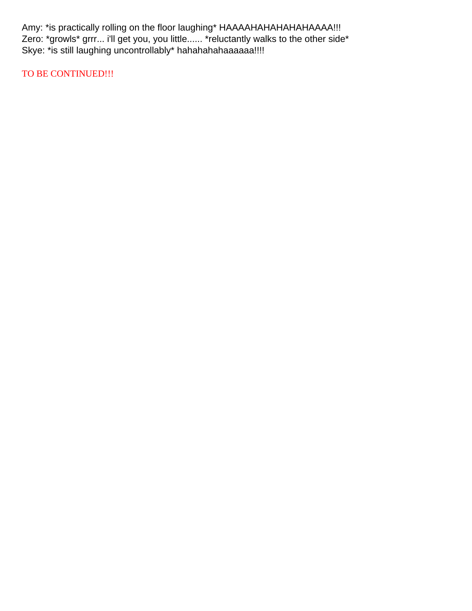Amy: \*is practically rolling on the floor laughing\* HAAAAHAHAHAHAAAAA!!! Zero: \*growls\* grrr... i'll get you, you little...... \*reluctantly walks to the other side\* Skye: \*is still laughing uncontrollably\* hahahahahaaaaaa!!!!

TO BE CONTINUED!!!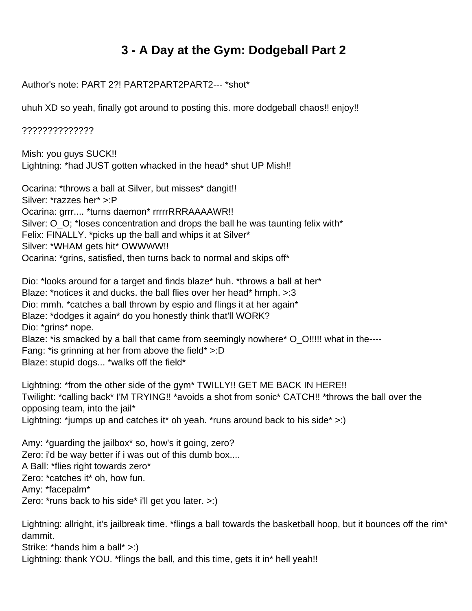### **3 - A Day at the Gym: Dodgeball Part 2**

<span id="page-6-0"></span>Author's note: PART 2?! PART2PART2PART2--- \*shot\*

uhuh XD so yeah, finally got around to posting this. more dodgeball chaos!! enjoy!!

??????????????

Mish: you guys SUCK!! Lightning: \*had JUST gotten whacked in the head\* shut UP Mish!!

Ocarina: \*throws a ball at Silver, but misses\* dangit!! Silver: \*razzes her\* >:P Ocarina: grrr.... \*turns daemon\* rrrrrRRRAAAAWR!! Silver: O\_O; \*loses concentration and drops the ball he was taunting felix with\* Felix: FINALLY. \*picks up the ball and whips it at Silver\* Silver: \*WHAM gets hit\* OWWWW!! Ocarina: \*grins, satisfied, then turns back to normal and skips off\*

Dio: \*looks around for a target and finds blaze\* huh. \*throws a ball at her\* Blaze: \*notices it and ducks. the ball flies over her head\* hmph. >:3 Dio: mmh. \*catches a ball thrown by espio and flings it at her again\* Blaze: \*dodges it again\* do you honestly think that'll WORK? Dio: \*grins\* nope. Blaze: \*is smacked by a ball that came from seemingly nowhere\* O\_O!!!!! what in the----Fang: \*is grinning at her from above the field\* >:D Blaze: stupid dogs... \*walks off the field\*

Lightning: \*from the other side of the gym\* TWILLY!! GET ME BACK IN HERE!! Twilight: \*calling back\* I'M TRYING!! \*avoids a shot from sonic\* CATCH!! \*throws the ball over the opposing team, into the jail\* Lightning: \*jumps up and catches it\* oh yeah. \*runs around back to his side\*  $>$ :)

Amy: \*guarding the jailbox\* so, how's it going, zero? Zero: i'd be way better if i was out of this dumb box.... A Ball: \*flies right towards zero\* Zero: \*catches it\* oh, how fun. Amy: \*facepalm\* Zero: \*runs back to his side\* i'll get you later. >:)

Lightning: allright, it's jailbreak time. \*flings a ball towards the basketball hoop, but it bounces off the rim\* dammit.

Strike: \*hands him a ball\* >:) Lightning: thank YOU. \*flings the ball, and this time, gets it in\* hell yeah!!